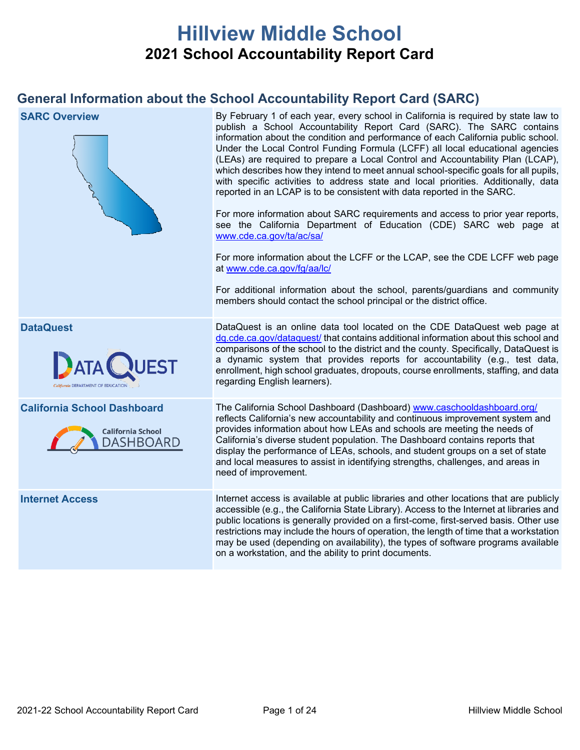# **Hillview Middle School 2021 School Accountability Report Card**

# **General Information about the School Accountability Report Card (SARC)**

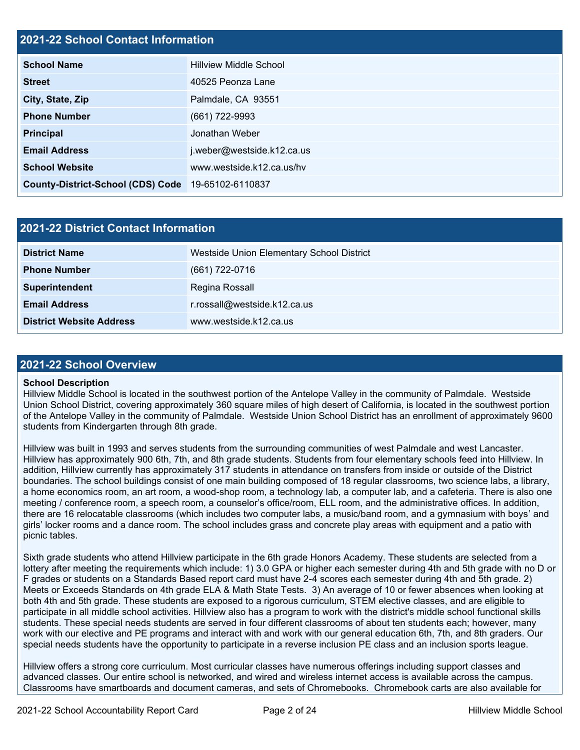## **2021-22 School Contact Information**

| <b>School Name</b>                                 | <b>Hillview Middle School</b> |  |  |  |
|----------------------------------------------------|-------------------------------|--|--|--|
| <b>Street</b>                                      | 40525 Peonza Lane             |  |  |  |
| City, State, Zip                                   | Palmdale, CA 93551            |  |  |  |
| <b>Phone Number</b>                                | (661) 722-9993                |  |  |  |
| <b>Principal</b>                                   | Jonathan Weber                |  |  |  |
| <b>Email Address</b>                               | j.weber@westside.k12.ca.us    |  |  |  |
| <b>School Website</b>                              | www.westside.k12.ca.us/hv     |  |  |  |
| County-District-School (CDS) Code 19-65102-6110837 |                               |  |  |  |

| <b>2021-22 District Contact Information</b> |                                           |  |  |  |
|---------------------------------------------|-------------------------------------------|--|--|--|
| <b>District Name</b>                        | Westside Union Elementary School District |  |  |  |
| <b>Phone Number</b>                         | (661) 722-0716                            |  |  |  |
| Superintendent                              | Regina Rossall                            |  |  |  |
| <b>Email Address</b>                        | r.rossall@westside.k12.ca.us              |  |  |  |
| <b>District Website Address</b>             | www.westside.k12.ca.us                    |  |  |  |

### **2021-22 School Overview**

### **School Description**

Hillview Middle School is located in the southwest portion of the Antelope Valley in the community of Palmdale. Westside Union School District, covering approximately 360 square miles of high desert of California, is located in the southwest portion of the Antelope Valley in the community of Palmdale. Westside Union School District has an enrollment of approximately 9600 students from Kindergarten through 8th grade.

Hillview was built in 1993 and serves students from the surrounding communities of west Palmdale and west Lancaster. Hillview has approximately 900 6th, 7th, and 8th grade students. Students from four elementary schools feed into Hillview. In addition, Hillview currently has approximately 317 students in attendance on transfers from inside or outside of the District boundaries. The school buildings consist of one main building composed of 18 regular classrooms, two science labs, a library, a home economics room, an art room, a wood-shop room, a technology lab, a computer lab, and a cafeteria. There is also one meeting / conference room, a speech room, a counselor's office/room, ELL room, and the administrative offices. In addition, there are 16 relocatable classrooms (which includes two computer labs, a music/band room, and a gymnasium with boys' and girls' locker rooms and a dance room. The school includes grass and concrete play areas with equipment and a patio with picnic tables.

Sixth grade students who attend Hillview participate in the 6th grade Honors Academy. These students are selected from a lottery after meeting the requirements which include: 1) 3.0 GPA or higher each semester during 4th and 5th grade with no D or F grades or students on a Standards Based report card must have 2-4 scores each semester during 4th and 5th grade. 2) Meets or Exceeds Standards on 4th grade ELA & Math State Tests. 3) An average of 10 or fewer absences when looking at both 4th and 5th grade. These students are exposed to a rigorous curriculum, STEM elective classes, and are eligible to participate in all middle school activities. Hillview also has a program to work with the district's middle school functional skills students. These special needs students are served in four different classrooms of about ten students each; however, many work with our elective and PE programs and interact with and work with our general education 6th, 7th, and 8th graders. Our special needs students have the opportunity to participate in a reverse inclusion PE class and an inclusion sports league.

Hillview offers a strong core curriculum. Most curricular classes have numerous offerings including support classes and advanced classes. Our entire school is networked, and wired and wireless internet access is available across the campus. Classrooms have smartboards and document cameras, and sets of Chromebooks. Chromebook carts are also available for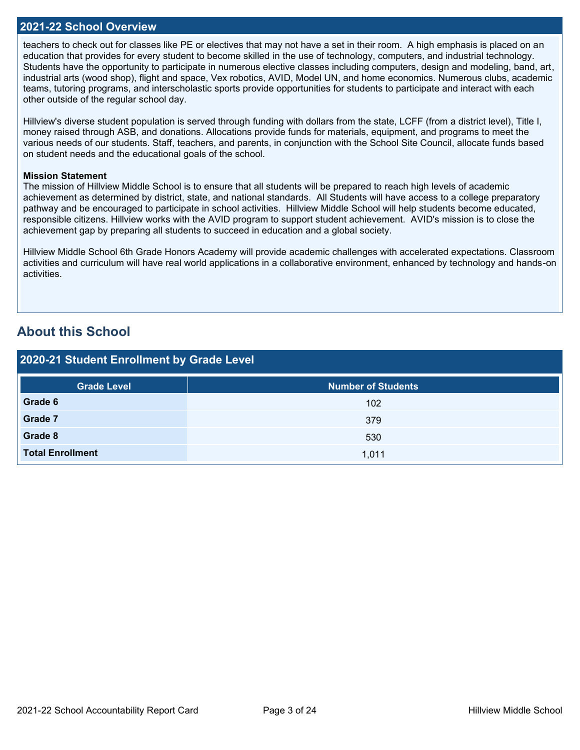### **2021-22 School Overview**

teachers to check out for classes like PE or electives that may not have a set in their room. A high emphasis is placed on an education that provides for every student to become skilled in the use of technology, computers, and industrial technology. Students have the opportunity to participate in numerous elective classes including computers, design and modeling, band, art, industrial arts (wood shop), flight and space, Vex robotics, AVID, Model UN, and home economics. Numerous clubs, academic teams, tutoring programs, and interscholastic sports provide opportunities for students to participate and interact with each other outside of the regular school day.

Hillview's diverse student population is served through funding with dollars from the state, LCFF (from a district level), Title I, money raised through ASB, and donations. Allocations provide funds for materials, equipment, and programs to meet the various needs of our students. Staff, teachers, and parents, in conjunction with the School Site Council, allocate funds based on student needs and the educational goals of the school.

### **Mission Statement**

The mission of Hillview Middle School is to ensure that all students will be prepared to reach high levels of academic achievement as determined by district, state, and national standards. All Students will have access to a college preparatory pathway and be encouraged to participate in school activities. Hillview Middle School will help students become educated, responsible citizens. Hillview works with the AVID program to support student achievement. AVID's mission is to close the achievement gap by preparing all students to succeed in education and a global society.

Hillview Middle School 6th Grade Honors Academy will provide academic challenges with accelerated expectations. Classroom activities and curriculum will have real world applications in a collaborative environment, enhanced by technology and hands-on activities.

## **About this School**

| 2020-21 Student Enrollment by Grade Level |                           |  |  |  |  |
|-------------------------------------------|---------------------------|--|--|--|--|
| <b>Grade Level</b>                        | <b>Number of Students</b> |  |  |  |  |
| Grade 6                                   | 102                       |  |  |  |  |
| Grade 7                                   | 379                       |  |  |  |  |
| Grade 8                                   | 530                       |  |  |  |  |
| <b>Total Enrollment</b>                   | 1,011                     |  |  |  |  |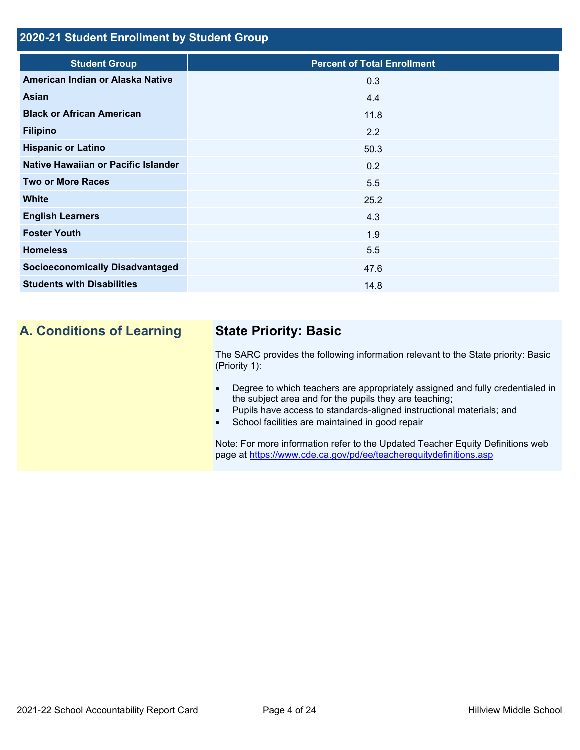## **2020-21 Student Enrollment by Student Group**

| <b>Student Group</b>                   | <b>Percent of Total Enrollment</b> |
|----------------------------------------|------------------------------------|
| American Indian or Alaska Native       | 0.3                                |
| Asian                                  | 4.4                                |
| <b>Black or African American</b>       | 11.8                               |
| <b>Filipino</b>                        | 2.2                                |
| <b>Hispanic or Latino</b>              | 50.3                               |
| Native Hawaiian or Pacific Islander    | 0.2                                |
| <b>Two or More Races</b>               | 5.5                                |
| <b>White</b>                           | 25.2                               |
| <b>English Learners</b>                | 4.3                                |
| <b>Foster Youth</b>                    | 1.9                                |
| <b>Homeless</b>                        | 5.5                                |
| <b>Socioeconomically Disadvantaged</b> | 47.6                               |
| <b>Students with Disabilities</b>      | 14.8                               |

# **A. Conditions of Learning State Priority: Basic**

The SARC provides the following information relevant to the State priority: Basic (Priority 1):

- Degree to which teachers are appropriately assigned and fully credentialed in the subject area and for the pupils they are teaching;
- Pupils have access to standards-aligned instructional materials; and
- School facilities are maintained in good repair

Note: For more information refer to the Updated Teacher Equity Definitions web page at<https://www.cde.ca.gov/pd/ee/teacherequitydefinitions.asp>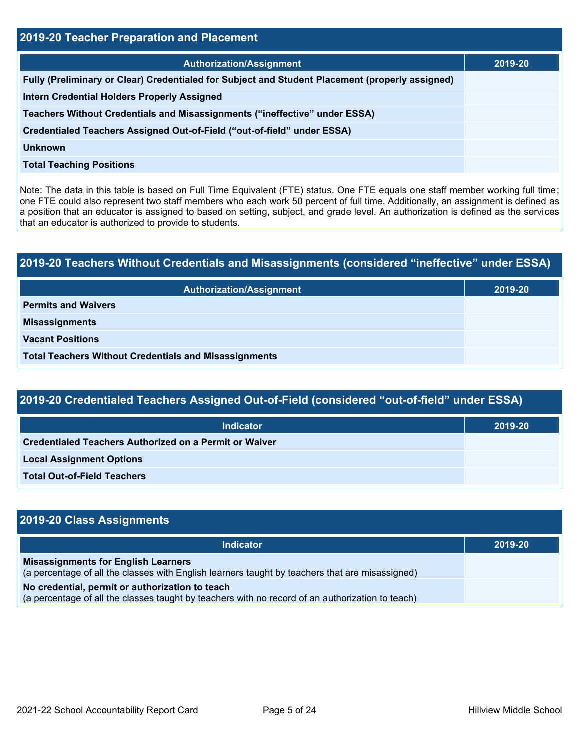| 2019-20 Teacher Preparation and Placement                                                       |         |  |  |  |
|-------------------------------------------------------------------------------------------------|---------|--|--|--|
| <b>Authorization/Assignment</b>                                                                 | 2019-20 |  |  |  |
| Fully (Preliminary or Clear) Credentialed for Subject and Student Placement (properly assigned) |         |  |  |  |
| <b>Intern Credential Holders Properly Assigned</b>                                              |         |  |  |  |
| Teachers Without Credentials and Misassignments ("ineffective" under ESSA)                      |         |  |  |  |
| Credentialed Teachers Assigned Out-of-Field ("out-of-field" under ESSA)                         |         |  |  |  |
| Unknown                                                                                         |         |  |  |  |
| <b>Total Teaching Positions</b>                                                                 |         |  |  |  |

Note: The data in this table is based on Full Time Equivalent (FTE) status. One FTE equals one staff member working full time; one FTE could also represent two staff members who each work 50 percent of full time. Additionally, an assignment is defined as a position that an educator is assigned to based on setting, subject, and grade level. An authorization is defined as the services that an educator is authorized to provide to students.

# **2019-20 Teachers Without Credentials and Misassignments (considered "ineffective" under ESSA) Authorization/Assignment 2019-20 Permits and Waivers Misassignments Vacant Positions Total Teachers Without Credentials and Misassignments**

| 2019-20 Credentialed Teachers Assigned Out-of-Field (considered "out-of-field" under ESSA) |         |  |  |  |
|--------------------------------------------------------------------------------------------|---------|--|--|--|
| <b>Indicator</b>                                                                           | 2019-20 |  |  |  |
| Credentialed Teachers Authorized on a Permit or Waiver                                     |         |  |  |  |
| <b>Local Assignment Options</b>                                                            |         |  |  |  |
| <b>Total Out-of-Field Teachers</b>                                                         |         |  |  |  |

| 2019-20 Class Assignments                                                                                                                           |         |
|-----------------------------------------------------------------------------------------------------------------------------------------------------|---------|
| <b>Indicator</b>                                                                                                                                    | 2019-20 |
| <b>Misassignments for English Learners</b><br>(a percentage of all the classes with English learners taught by teachers that are misassigned)       |         |
| No credential, permit or authorization to teach<br>(a percentage of all the classes taught by teachers with no record of an authorization to teach) |         |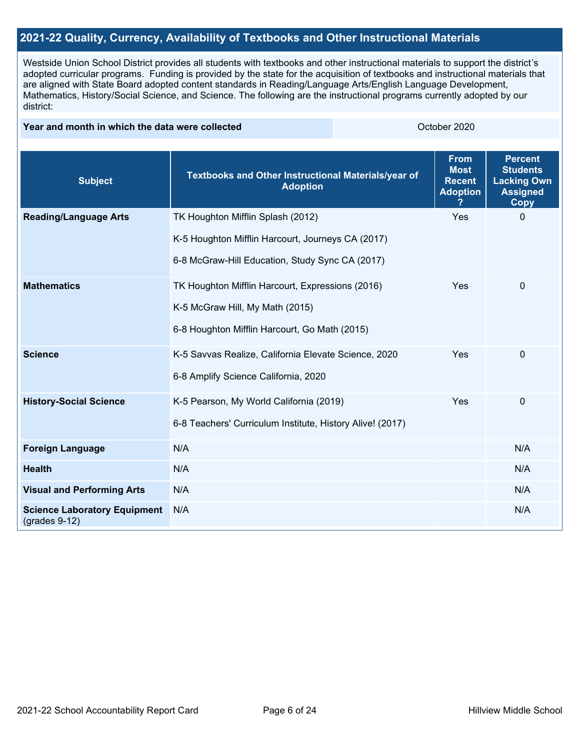### **2021-22 Quality, Currency, Availability of Textbooks and Other Instructional Materials**

Westside Union School District provides all students with textbooks and other instructional materials to support the district's adopted curricular programs. Funding is provided by the state for the acquisition of textbooks and instructional materials that are aligned with State Board adopted content standards in Reading/Language Arts/English Language Development, Mathematics, History/Social Science, and Science. The following are the instructional programs currently adopted by our district:

### **Year and month in which the data were collected Collection Collection Collection Collection** October 2020

| <b>Subject</b>                                         | Textbooks and Other Instructional Materials/year of<br><b>Adoption</b> | <b>From</b><br><b>Most</b><br><b>Recent</b><br><b>Adoption</b> | <b>Percent</b><br><b>Students</b><br><b>Lacking Own</b><br><b>Assigned</b><br><b>Copy</b> |
|--------------------------------------------------------|------------------------------------------------------------------------|----------------------------------------------------------------|-------------------------------------------------------------------------------------------|
| <b>Reading/Language Arts</b>                           | TK Houghton Mifflin Splash (2012)                                      | Yes                                                            | $\Omega$                                                                                  |
|                                                        | K-5 Houghton Mifflin Harcourt, Journeys CA (2017)                      |                                                                |                                                                                           |
|                                                        | 6-8 McGraw-Hill Education, Study Sync CA (2017)                        |                                                                |                                                                                           |
| <b>Mathematics</b>                                     | TK Houghton Mifflin Harcourt, Expressions (2016)                       | Yes                                                            | $\mathbf 0$                                                                               |
|                                                        | K-5 McGraw Hill, My Math (2015)                                        |                                                                |                                                                                           |
|                                                        | 6-8 Houghton Mifflin Harcourt, Go Math (2015)                          |                                                                |                                                                                           |
| <b>Science</b>                                         | K-5 Savvas Realize, California Elevate Science, 2020                   | Yes                                                            | 0                                                                                         |
|                                                        | 6-8 Amplify Science California, 2020                                   |                                                                |                                                                                           |
| <b>History-Social Science</b>                          | K-5 Pearson, My World California (2019)                                | Yes                                                            | 0                                                                                         |
|                                                        | 6-8 Teachers' Curriculum Institute, History Alive! (2017)              |                                                                |                                                                                           |
| <b>Foreign Language</b>                                | N/A                                                                    |                                                                | N/A                                                                                       |
| <b>Health</b>                                          | N/A                                                                    |                                                                | N/A                                                                                       |
| <b>Visual and Performing Arts</b>                      | N/A                                                                    |                                                                | N/A                                                                                       |
| <b>Science Laboratory Equipment</b><br>$(grades 9-12)$ | N/A                                                                    |                                                                | N/A                                                                                       |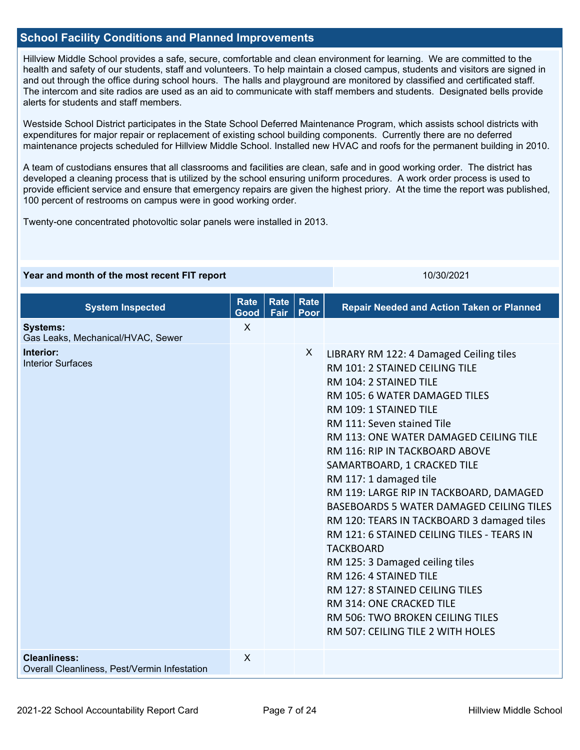### **School Facility Conditions and Planned Improvements**

Hillview Middle School provides a safe, secure, comfortable and clean environment for learning. We are committed to the health and safety of our students, staff and volunteers. To help maintain a closed campus, students and visitors are signed in and out through the office during school hours. The halls and playground are monitored by classified and certificated staff. The intercom and site radios are used as an aid to communicate with staff members and students. Designated bells provide alerts for students and staff members.

Westside School District participates in the State School Deferred Maintenance Program, which assists school districts with expenditures for major repair or replacement of existing school building components. Currently there are no deferred maintenance projects scheduled for Hillview Middle School. Installed new HVAC and roofs for the permanent building in 2010.

A team of custodians ensures that all classrooms and facilities are clean, safe and in good working order. The district has developed a cleaning process that is utilized by the school ensuring uniform procedures. A work order process is used to provide efficient service and ensure that emergency repairs are given the highest priory. At the time the report was published, 100 percent of restrooms on campus were in good working order.

**Year and month of the most recent FIT report** 10/30/2021 10/30/2021

Twenty-one concentrated photovoltic solar panels were installed in 2013.

| <b>System Inspected</b>                                             | <b>Rate</b><br>Good | Rate<br>Fair | <b>Rate</b><br>Poor | <b>Repair Needed and Action Taken or Planned</b>                                                                                                                                                                                                                                                                                                                                                                                                                                                                                                                                                                                                                                                                                              |
|---------------------------------------------------------------------|---------------------|--------------|---------------------|-----------------------------------------------------------------------------------------------------------------------------------------------------------------------------------------------------------------------------------------------------------------------------------------------------------------------------------------------------------------------------------------------------------------------------------------------------------------------------------------------------------------------------------------------------------------------------------------------------------------------------------------------------------------------------------------------------------------------------------------------|
| <b>Systems:</b><br>Gas Leaks, Mechanical/HVAC, Sewer                | $\mathsf{X}$        |              |                     |                                                                                                                                                                                                                                                                                                                                                                                                                                                                                                                                                                                                                                                                                                                                               |
| Interior:<br><b>Interior Surfaces</b>                               |                     |              | X                   | LIBRARY RM 122: 4 Damaged Ceiling tiles<br>RM 101: 2 STAINED CEILING TILE<br>RM 104: 2 STAINED TILE<br>RM 105: 6 WATER DAMAGED TILES<br>RM 109: 1 STAINED TILE<br>RM 111: Seven stained Tile<br>RM 113: ONE WATER DAMAGED CEILING TILE<br>RM 116: RIP IN TACKBOARD ABOVE<br>SAMARTBOARD, 1 CRACKED TILE<br>RM 117: 1 damaged tile<br>RM 119: LARGE RIP IN TACKBOARD, DAMAGED<br>BASEBOARDS 5 WATER DAMAGED CEILING TILES<br>RM 120: TEARS IN TACKBOARD 3 damaged tiles<br>RM 121: 6 STAINED CEILING TILES - TEARS IN<br><b>TACKBOARD</b><br>RM 125: 3 Damaged ceiling tiles<br>RM 126: 4 STAINED TILE<br>RM 127: 8 STAINED CEILING TILES<br>RM 314: ONE CRACKED TILE<br>RM 506: TWO BROKEN CEILING TILES<br>RM 507: CEILING TILE 2 WITH HOLES |
| <b>Cleanliness:</b><br>Overall Cleanliness, Pest/Vermin Infestation | $\sf X$             |              |                     |                                                                                                                                                                                                                                                                                                                                                                                                                                                                                                                                                                                                                                                                                                                                               |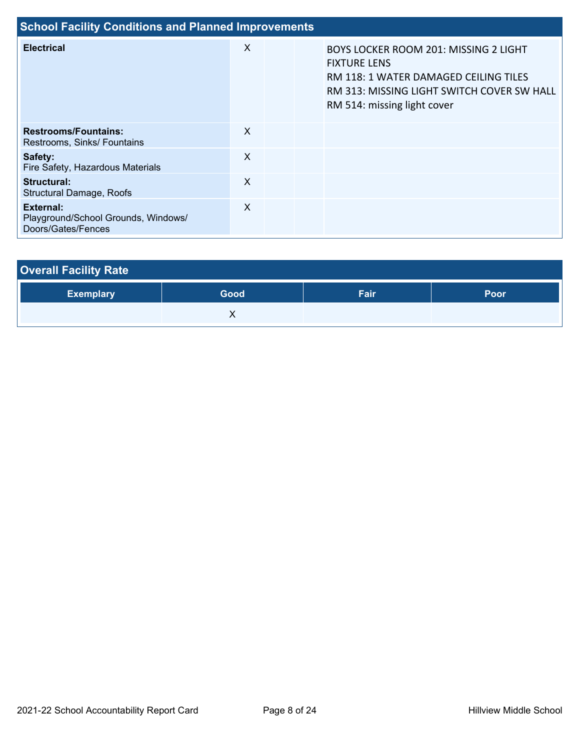| <b>School Facility Conditions and Planned Improvements</b>             |                           |  |                                                                                                                                                                                           |  |  |  |
|------------------------------------------------------------------------|---------------------------|--|-------------------------------------------------------------------------------------------------------------------------------------------------------------------------------------------|--|--|--|
| <b>Electrical</b>                                                      | X                         |  | <b>BOYS LOCKER ROOM 201: MISSING 2 LIGHT</b><br><b>FIXTURE LENS</b><br>RM 118: 1 WATER DAMAGED CEILING TILES<br>RM 313: MISSING LIGHT SWITCH COVER SW HALL<br>RM 514: missing light cover |  |  |  |
| <b>Restrooms/Fountains:</b><br>Restrooms, Sinks/ Fountains             | X                         |  |                                                                                                                                                                                           |  |  |  |
| Safety:<br>Fire Safety, Hazardous Materials                            | $\boldsymbol{\mathsf{X}}$ |  |                                                                                                                                                                                           |  |  |  |
| Structural:<br><b>Structural Damage, Roofs</b>                         | $\boldsymbol{\mathsf{X}}$ |  |                                                                                                                                                                                           |  |  |  |
| External:<br>Playground/School Grounds, Windows/<br>Doors/Gates/Fences | X                         |  |                                                                                                                                                                                           |  |  |  |

| <b>Overall Facility Rate</b> |      |      |             |  |  |  |
|------------------------------|------|------|-------------|--|--|--|
| <b>Exemplary</b>             | Good | Fair | <b>Poor</b> |  |  |  |
|                              |      |      |             |  |  |  |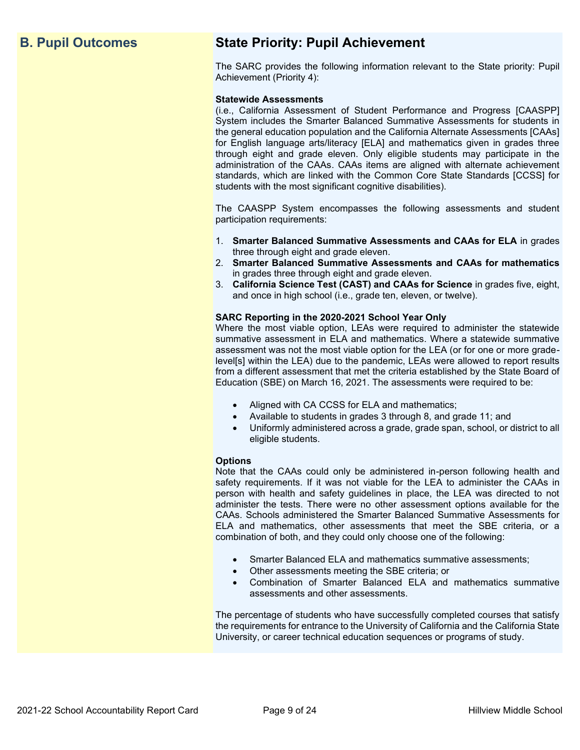# **B. Pupil Outcomes State Priority: Pupil Achievement**

The SARC provides the following information relevant to the State priority: Pupil Achievement (Priority 4):

### **Statewide Assessments**

(i.e., California Assessment of Student Performance and Progress [CAASPP] System includes the Smarter Balanced Summative Assessments for students in the general education population and the California Alternate Assessments [CAAs] for English language arts/literacy [ELA] and mathematics given in grades three through eight and grade eleven. Only eligible students may participate in the administration of the CAAs. CAAs items are aligned with alternate achievement standards, which are linked with the Common Core State Standards [CCSS] for students with the most significant cognitive disabilities).

The CAASPP System encompasses the following assessments and student participation requirements:

- 1. **Smarter Balanced Summative Assessments and CAAs for ELA** in grades three through eight and grade eleven.
- 2. **Smarter Balanced Summative Assessments and CAAs for mathematics** in grades three through eight and grade eleven.
- 3. **California Science Test (CAST) and CAAs for Science** in grades five, eight, and once in high school (i.e., grade ten, eleven, or twelve).

### **SARC Reporting in the 2020-2021 School Year Only**

Where the most viable option, LEAs were required to administer the statewide summative assessment in ELA and mathematics. Where a statewide summative assessment was not the most viable option for the LEA (or for one or more gradelevel[s] within the LEA) due to the pandemic, LEAs were allowed to report results from a different assessment that met the criteria established by the State Board of Education (SBE) on March 16, 2021. The assessments were required to be:

- Aligned with CA CCSS for ELA and mathematics;
- Available to students in grades 3 through 8, and grade 11; and
- Uniformly administered across a grade, grade span, school, or district to all eligible students.

### **Options**

Note that the CAAs could only be administered in-person following health and safety requirements. If it was not viable for the LEA to administer the CAAs in person with health and safety guidelines in place, the LEA was directed to not administer the tests. There were no other assessment options available for the CAAs. Schools administered the Smarter Balanced Summative Assessments for ELA and mathematics, other assessments that meet the SBE criteria, or a combination of both, and they could only choose one of the following:

- Smarter Balanced ELA and mathematics summative assessments;
- Other assessments meeting the SBE criteria; or
- Combination of Smarter Balanced ELA and mathematics summative assessments and other assessments.

The percentage of students who have successfully completed courses that satisfy the requirements for entrance to the University of California and the California State University, or career technical education sequences or programs of study.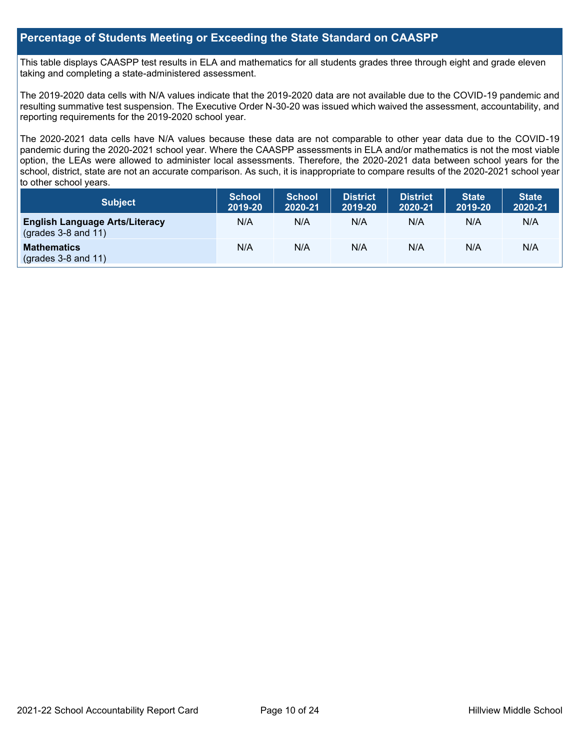### **Percentage of Students Meeting or Exceeding the State Standard on CAASPP**

This table displays CAASPP test results in ELA and mathematics for all students grades three through eight and grade eleven taking and completing a state-administered assessment.

The 2019-2020 data cells with N/A values indicate that the 2019-2020 data are not available due to the COVID-19 pandemic and resulting summative test suspension. The Executive Order N-30-20 was issued which waived the assessment, accountability, and reporting requirements for the 2019-2020 school year.

The 2020-2021 data cells have N/A values because these data are not comparable to other year data due to the COVID-19 pandemic during the 2020-2021 school year. Where the CAASPP assessments in ELA and/or mathematics is not the most viable option, the LEAs were allowed to administer local assessments. Therefore, the 2020-2021 data between school years for the school, district, state are not an accurate comparison. As such, it is inappropriate to compare results of the 2020-2021 school year to other school years.

| Subject                                                              | <b>School</b><br>2019-20 | <b>School</b><br>2020-21 | <b>District</b><br>2019-20 | <b>District</b><br>2020-21 | <b>State</b><br>2019-20 | <b>State</b><br>2020-21 |
|----------------------------------------------------------------------|--------------------------|--------------------------|----------------------------|----------------------------|-------------------------|-------------------------|
| <b>English Language Arts/Literacy</b><br>$\left($ grades 3-8 and 11) | N/A                      | N/A                      | N/A                        | N/A                        | N/A                     | N/A                     |
| <b>Mathematics</b><br>$(grades 3-8 and 11)$                          | N/A                      | N/A                      | N/A                        | N/A                        | N/A                     | N/A                     |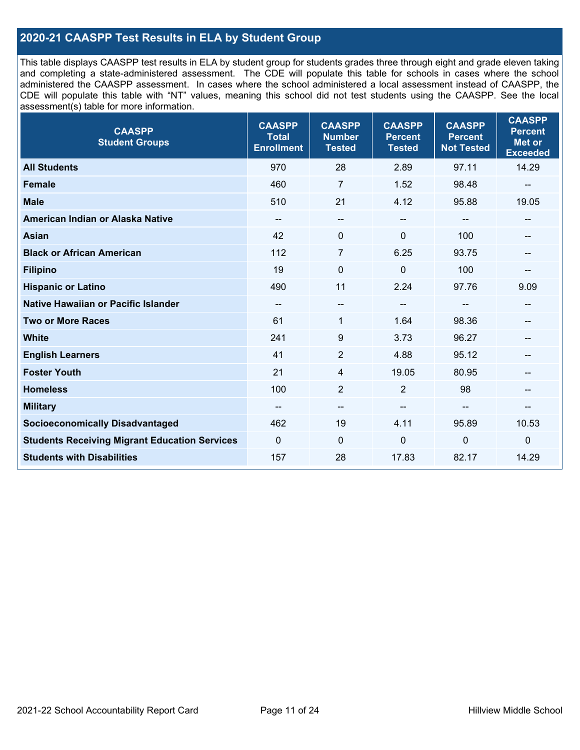### **2020-21 CAASPP Test Results in ELA by Student Group**

This table displays CAASPP test results in ELA by student group for students grades three through eight and grade eleven taking and completing a state-administered assessment. The CDE will populate this table for schools in cases where the school administered the CAASPP assessment. In cases where the school administered a local assessment instead of CAASPP, the CDE will populate this table with "NT" values, meaning this school did not test students using the CAASPP. See the local assessment(s) table for more information.

| <b>CAASPP</b><br><b>Student Groups</b>               | <b>CAASPP</b><br><b>Total</b><br><b>Enrollment</b> | <b>CAASPP</b><br><b>Number</b><br><b>Tested</b> | <b>CAASPP</b><br><b>Percent</b><br><b>Tested</b> | <b>CAASPP</b><br><b>Percent</b><br><b>Not Tested</b> | <b>CAASPP</b><br><b>Percent</b><br><b>Met or</b><br><b>Exceeded</b> |
|------------------------------------------------------|----------------------------------------------------|-------------------------------------------------|--------------------------------------------------|------------------------------------------------------|---------------------------------------------------------------------|
| <b>All Students</b>                                  | 970                                                | 28                                              | 2.89                                             | 97.11                                                | 14.29                                                               |
| <b>Female</b>                                        | 460                                                | $\overline{7}$                                  | 1.52                                             | 98.48                                                | $\sim$                                                              |
| <b>Male</b>                                          | 510                                                | 21                                              | 4.12                                             | 95.88                                                | 19.05                                                               |
| American Indian or Alaska Native                     | $\qquad \qquad -$                                  | --                                              | --                                               | --                                                   | $\overline{\phantom{a}}$                                            |
| Asian                                                | 42                                                 | 0                                               | $\mathbf 0$                                      | 100                                                  |                                                                     |
| <b>Black or African American</b>                     | 112                                                | 7                                               | 6.25                                             | 93.75                                                | --                                                                  |
| <b>Filipino</b>                                      | 19                                                 | $\mathbf 0$                                     | $\mathbf{0}$                                     | 100                                                  |                                                                     |
| <b>Hispanic or Latino</b>                            | 490                                                | 11                                              | 2.24                                             | 97.76                                                | 9.09                                                                |
| Native Hawaiian or Pacific Islander                  | --                                                 | --                                              | $\sim$                                           | --                                                   | $- -$                                                               |
| <b>Two or More Races</b>                             | 61                                                 | 1                                               | 1.64                                             | 98.36                                                |                                                                     |
| <b>White</b>                                         | 241                                                | 9                                               | 3.73                                             | 96.27                                                | --                                                                  |
| <b>English Learners</b>                              | 41                                                 | $\overline{2}$                                  | 4.88                                             | 95.12                                                |                                                                     |
| <b>Foster Youth</b>                                  | 21                                                 | 4                                               | 19.05                                            | 80.95                                                | --                                                                  |
| <b>Homeless</b>                                      | 100                                                | $\overline{2}$                                  | $\overline{2}$                                   | 98                                                   | $\overline{\phantom{a}}$                                            |
| <b>Military</b>                                      | --                                                 | --                                              | --                                               | --                                                   | --                                                                  |
| <b>Socioeconomically Disadvantaged</b>               | 462                                                | 19                                              | 4.11                                             | 95.89                                                | 10.53                                                               |
| <b>Students Receiving Migrant Education Services</b> | 0                                                  | 0                                               | $\mathbf 0$                                      | 0                                                    | $\mathbf 0$                                                         |
| <b>Students with Disabilities</b>                    | 157                                                | 28                                              | 17.83                                            | 82.17                                                | 14.29                                                               |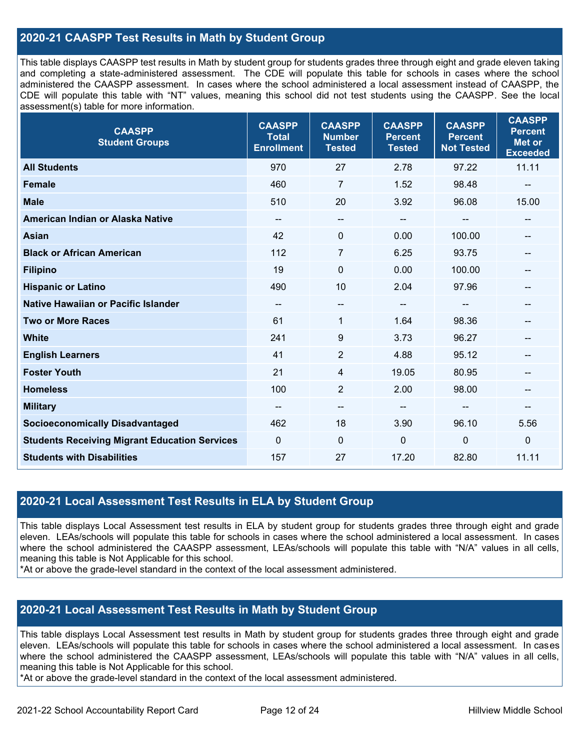### **2020-21 CAASPP Test Results in Math by Student Group**

This table displays CAASPP test results in Math by student group for students grades three through eight and grade eleven taking and completing a state-administered assessment. The CDE will populate this table for schools in cases where the school administered the CAASPP assessment. In cases where the school administered a local assessment instead of CAASPP, the CDE will populate this table with "NT" values, meaning this school did not test students using the CAASPP. See the local assessment(s) table for more information.

| <b>CAASPP</b><br><b>Student Groups</b>               | <b>CAASPP</b><br><b>Total</b><br><b>Enrollment</b> | <b>CAASPP</b><br><b>Number</b><br><b>Tested</b> | <b>CAASPP</b><br><b>Percent</b><br><b>Tested</b> | <b>CAASPP</b><br><b>Percent</b><br><b>Not Tested</b> | <b>CAASPP</b><br><b>Percent</b><br><b>Met or</b><br><b>Exceeded</b> |
|------------------------------------------------------|----------------------------------------------------|-------------------------------------------------|--------------------------------------------------|------------------------------------------------------|---------------------------------------------------------------------|
| <b>All Students</b>                                  | 970                                                | 27                                              | 2.78                                             | 97.22                                                | 11.11                                                               |
| <b>Female</b>                                        | 460                                                | $\overline{7}$                                  | 1.52                                             | 98.48                                                |                                                                     |
| <b>Male</b>                                          | 510                                                | 20                                              | 3.92                                             | 96.08                                                | 15.00                                                               |
| American Indian or Alaska Native                     | --                                                 | --                                              | $\sim$                                           | --                                                   | $- -$                                                               |
| <b>Asian</b>                                         | 42                                                 | 0                                               | 0.00                                             | 100.00                                               | --                                                                  |
| <b>Black or African American</b>                     | 112                                                | 7                                               | 6.25                                             | 93.75                                                | --                                                                  |
| <b>Filipino</b>                                      | 19                                                 | $\mathbf 0$                                     | 0.00                                             | 100.00                                               |                                                                     |
| <b>Hispanic or Latino</b>                            | 490                                                | 10                                              | 2.04                                             | 97.96                                                | --                                                                  |
| Native Hawaiian or Pacific Islander                  | $\qquad \qquad -$                                  | --                                              | $\overline{\phantom{a}}$                         | $\overline{\phantom{a}}$                             | $\hspace{0.05cm}$                                                   |
| <b>Two or More Races</b>                             | 61                                                 | $\mathbf{1}$                                    | 1.64                                             | 98.36                                                | --                                                                  |
| <b>White</b>                                         | 241                                                | 9                                               | 3.73                                             | 96.27                                                | --                                                                  |
| <b>English Learners</b>                              | 41                                                 | $\overline{2}$                                  | 4.88                                             | 95.12                                                | --                                                                  |
| <b>Foster Youth</b>                                  | 21                                                 | 4                                               | 19.05                                            | 80.95                                                |                                                                     |
| <b>Homeless</b>                                      | 100                                                | $\overline{2}$                                  | 2.00                                             | 98.00                                                | $\hspace{0.05cm}$ – $\hspace{0.05cm}$                               |
| <b>Military</b>                                      | --                                                 | --                                              | --                                               | --                                                   | --                                                                  |
| <b>Socioeconomically Disadvantaged</b>               | 462                                                | 18                                              | 3.90                                             | 96.10                                                | 5.56                                                                |
| <b>Students Receiving Migrant Education Services</b> | $\mathbf{0}$                                       | 0                                               | $\mathbf 0$                                      | 0                                                    | $\mathbf 0$                                                         |
| <b>Students with Disabilities</b>                    | 157                                                | 27                                              | 17.20                                            | 82.80                                                | 11.11                                                               |

### **2020-21 Local Assessment Test Results in ELA by Student Group**

This table displays Local Assessment test results in ELA by student group for students grades three through eight and grade eleven. LEAs/schools will populate this table for schools in cases where the school administered a local assessment. In cases where the school administered the CAASPP assessment, LEAs/schools will populate this table with "N/A" values in all cells, meaning this table is Not Applicable for this school.

\*At or above the grade-level standard in the context of the local assessment administered.

### **2020-21 Local Assessment Test Results in Math by Student Group**

This table displays Local Assessment test results in Math by student group for students grades three through eight and grade eleven. LEAs/schools will populate this table for schools in cases where the school administered a local assessment. In cases where the school administered the CAASPP assessment, LEAs/schools will populate this table with "N/A" values in all cells, meaning this table is Not Applicable for this school.

\*At or above the grade-level standard in the context of the local assessment administered.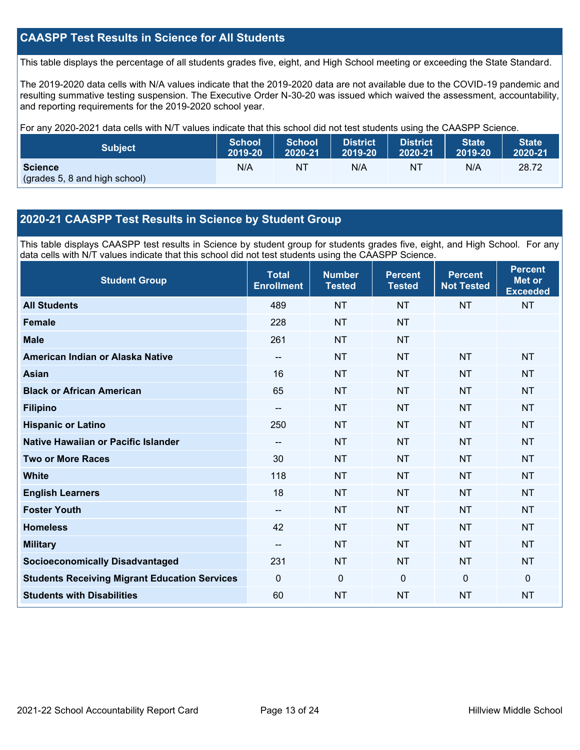### **CAASPP Test Results in Science for All Students**

This table displays the percentage of all students grades five, eight, and High School meeting or exceeding the State Standard.

The 2019-2020 data cells with N/A values indicate that the 2019-2020 data are not available due to the COVID-19 pandemic and resulting summative testing suspension. The Executive Order N-30-20 was issued which waived the assessment, accountability, and reporting requirements for the 2019-2020 school year.

For any 2020-2021 data cells with N/T values indicate that this school did not test students using the CAASPP Science.

| <b>Subject</b>                                  | <b>School</b> | <b>School</b> | <b>District</b> | District. | <b>State</b> | <b>State</b> |
|-------------------------------------------------|---------------|---------------|-----------------|-----------|--------------|--------------|
|                                                 | 2019-20       | 2020-21       | 2019-20         | 2020-21   | 2019-20      | 2020-21      |
| <b>Science</b><br>(grades 5, 8 and high school) | N/A           | NT            | N/A             | NT        | N/A          | 28.72        |

### **2020-21 CAASPP Test Results in Science by Student Group**

This table displays CAASPP test results in Science by student group for students grades five, eight, and High School. For any data cells with N/T values indicate that this school did not test students using the CAASPP Science.

| <b>Student Group</b>                                 | <b>Total</b><br><b>Enrollment</b>     | <b>Number</b><br><b>Tested</b> | <b>Percent</b><br><b>Tested</b> | <b>Percent</b><br><b>Not Tested</b> | <b>Percent</b><br><b>Met or</b><br><b>Exceeded</b> |
|------------------------------------------------------|---------------------------------------|--------------------------------|---------------------------------|-------------------------------------|----------------------------------------------------|
| <b>All Students</b>                                  | 489                                   | <b>NT</b>                      | <b>NT</b>                       | <b>NT</b>                           | <b>NT</b>                                          |
| <b>Female</b>                                        | 228                                   | <b>NT</b>                      | <b>NT</b>                       |                                     |                                                    |
| <b>Male</b>                                          | 261                                   | <b>NT</b>                      | <b>NT</b>                       |                                     |                                                    |
| American Indian or Alaska Native                     | $\hspace{0.05cm}$ – $\hspace{0.05cm}$ | <b>NT</b>                      | <b>NT</b>                       | <b>NT</b>                           | <b>NT</b>                                          |
| <b>Asian</b>                                         | 16                                    | <b>NT</b>                      | <b>NT</b>                       | <b>NT</b>                           | <b>NT</b>                                          |
| <b>Black or African American</b>                     | 65                                    | <b>NT</b>                      | <b>NT</b>                       | <b>NT</b>                           | <b>NT</b>                                          |
| <b>Filipino</b>                                      | --                                    | <b>NT</b>                      | <b>NT</b>                       | <b>NT</b>                           | <b>NT</b>                                          |
| <b>Hispanic or Latino</b>                            | 250                                   | <b>NT</b>                      | <b>NT</b>                       | <b>NT</b>                           | <b>NT</b>                                          |
| Native Hawaiian or Pacific Islander                  | --                                    | <b>NT</b>                      | <b>NT</b>                       | <b>NT</b>                           | <b>NT</b>                                          |
| <b>Two or More Races</b>                             | 30                                    | <b>NT</b>                      | <b>NT</b>                       | <b>NT</b>                           | <b>NT</b>                                          |
| <b>White</b>                                         | 118                                   | <b>NT</b>                      | <b>NT</b>                       | <b>NT</b>                           | <b>NT</b>                                          |
| <b>English Learners</b>                              | 18                                    | <b>NT</b>                      | <b>NT</b>                       | <b>NT</b>                           | <b>NT</b>                                          |
| <b>Foster Youth</b>                                  | --                                    | <b>NT</b>                      | <b>NT</b>                       | <b>NT</b>                           | <b>NT</b>                                          |
| <b>Homeless</b>                                      | 42                                    | <b>NT</b>                      | <b>NT</b>                       | <b>NT</b>                           | <b>NT</b>                                          |
| <b>Military</b>                                      | --                                    | <b>NT</b>                      | <b>NT</b>                       | <b>NT</b>                           | <b>NT</b>                                          |
| <b>Socioeconomically Disadvantaged</b>               | 231                                   | <b>NT</b>                      | <b>NT</b>                       | <b>NT</b>                           | <b>NT</b>                                          |
| <b>Students Receiving Migrant Education Services</b> | $\Omega$                              | 0                              | $\mathbf{0}$                    | $\overline{0}$                      | $\mathbf{0}$                                       |
| <b>Students with Disabilities</b>                    | 60                                    | <b>NT</b>                      | <b>NT</b>                       | <b>NT</b>                           | <b>NT</b>                                          |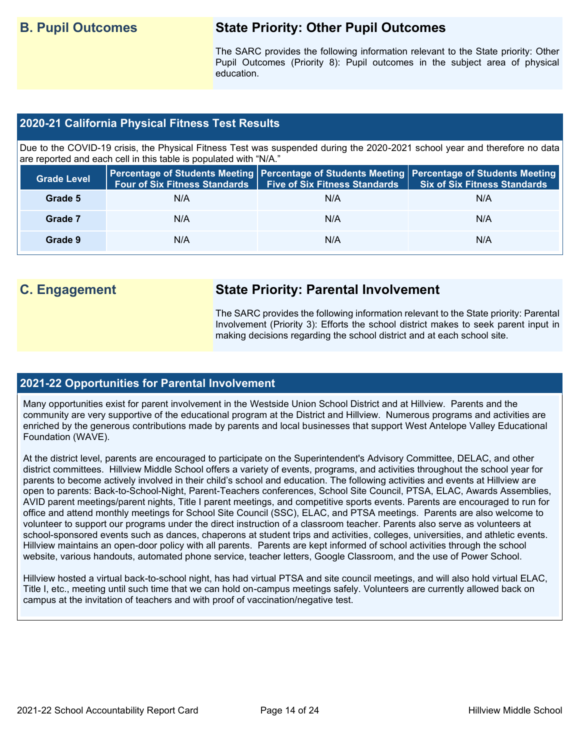## **B. Pupil Outcomes State Priority: Other Pupil Outcomes**

The SARC provides the following information relevant to the State priority: Other Pupil Outcomes (Priority 8): Pupil outcomes in the subject area of physical education.

### **2020-21 California Physical Fitness Test Results**

Due to the COVID-19 crisis, the Physical Fitness Test was suspended during the 2020-2021 school year and therefore no data are reported and each cell in this table is populated with "N/A."

| <b>Grade Level</b> | <b>Four of Six Fitness Standards</b> | <b>Five of Six Fitness Standards</b> | Percentage of Students Meeting   Percentage of Students Meeting   Percentage of Students Meeting  <br><b>Six of Six Fitness Standards</b> |
|--------------------|--------------------------------------|--------------------------------------|-------------------------------------------------------------------------------------------------------------------------------------------|
| Grade 5            | N/A                                  | N/A                                  | N/A                                                                                                                                       |
| Grade 7            | N/A                                  | N/A                                  | N/A                                                                                                                                       |
| Grade 9            | N/A                                  | N/A                                  | N/A                                                                                                                                       |

## **C. Engagement State Priority: Parental Involvement**

The SARC provides the following information relevant to the State priority: Parental Involvement (Priority 3): Efforts the school district makes to seek parent input in making decisions regarding the school district and at each school site.

### **2021-22 Opportunities for Parental Involvement**

Many opportunities exist for parent involvement in the Westside Union School District and at Hillview. Parents and the community are very supportive of the educational program at the District and Hillview. Numerous programs and activities are enriched by the generous contributions made by parents and local businesses that support West Antelope Valley Educational Foundation (WAVE).

At the district level, parents are encouraged to participate on the Superintendent's Advisory Committee, DELAC, and other district committees. Hillview Middle School offers a variety of events, programs, and activities throughout the school year for parents to become actively involved in their child's school and education. The following activities and events at Hillview are open to parents: Back-to-School-Night, Parent-Teachers conferences, School Site Council, PTSA, ELAC, Awards Assemblies, AVID parent meetings/parent nights, Title I parent meetings, and competitive sports events. Parents are encouraged to run for office and attend monthly meetings for School Site Council (SSC), ELAC, and PTSA meetings. Parents are also welcome to volunteer to support our programs under the direct instruction of a classroom teacher. Parents also serve as volunteers at school-sponsored events such as dances, chaperons at student trips and activities, colleges, universities, and athletic events. Hillview maintains an open-door policy with all parents. Parents are kept informed of school activities through the school website, various handouts, automated phone service, teacher letters, Google Classroom, and the use of Power School.

Hillview hosted a virtual back-to-school night, has had virtual PTSA and site council meetings, and will also hold virtual ELAC, Title I, etc., meeting until such time that we can hold on-campus meetings safely. Volunteers are currently allowed back on campus at the invitation of teachers and with proof of vaccination/negative test.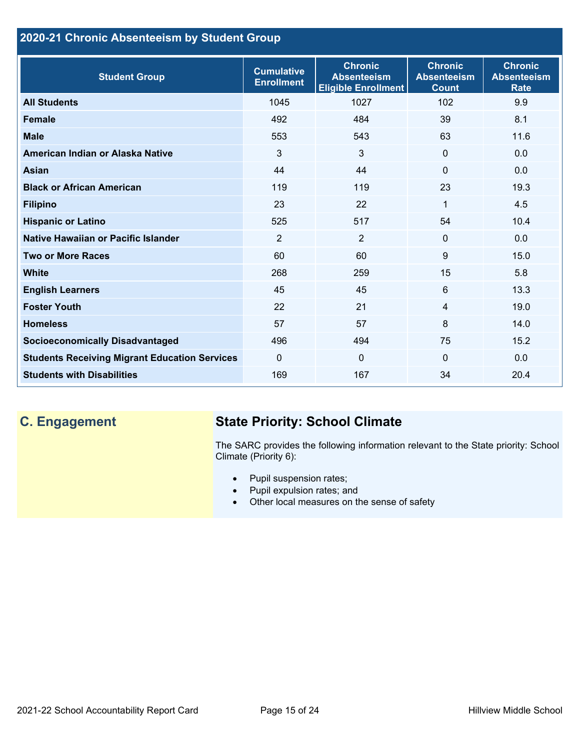## **2020-21 Chronic Absenteeism by Student Group**

| <b>Student Group</b>                                 | <b>Cumulative</b><br><b>Enrollment</b> | <b>Chronic</b><br><b>Absenteeism</b><br><b>Eligible Enrollment</b> | <b>Chronic</b><br><b>Absenteeism</b><br><b>Count</b> | <b>Chronic</b><br><b>Absenteeism</b><br><b>Rate</b> |
|------------------------------------------------------|----------------------------------------|--------------------------------------------------------------------|------------------------------------------------------|-----------------------------------------------------|
| <b>All Students</b>                                  | 1045                                   | 1027                                                               | 102                                                  | 9.9                                                 |
| <b>Female</b>                                        | 492                                    | 484                                                                | 39                                                   | 8.1                                                 |
| <b>Male</b>                                          | 553                                    | 543                                                                | 63                                                   | 11.6                                                |
| American Indian or Alaska Native                     | 3                                      | 3                                                                  | $\mathbf{0}$                                         | 0.0                                                 |
| <b>Asian</b>                                         | 44                                     | 44                                                                 | $\mathbf{0}$                                         | 0.0                                                 |
| <b>Black or African American</b>                     | 119                                    | 119                                                                | 23                                                   | 19.3                                                |
| <b>Filipino</b>                                      | 23                                     | 22                                                                 | $\mathbf{1}$                                         | 4.5                                                 |
| <b>Hispanic or Latino</b>                            | 525                                    | 517                                                                | 54                                                   | 10.4                                                |
| Native Hawaiian or Pacific Islander                  | 2                                      | $\overline{2}$                                                     | $\mathbf 0$                                          | 0.0                                                 |
| <b>Two or More Races</b>                             | 60                                     | 60                                                                 | 9                                                    | 15.0                                                |
| <b>White</b>                                         | 268                                    | 259                                                                | 15                                                   | 5.8                                                 |
| <b>English Learners</b>                              | 45                                     | 45                                                                 | 6                                                    | 13.3                                                |
| <b>Foster Youth</b>                                  | 22                                     | 21                                                                 | $\overline{4}$                                       | 19.0                                                |
| <b>Homeless</b>                                      | 57                                     | 57                                                                 | 8                                                    | 14.0                                                |
| <b>Socioeconomically Disadvantaged</b>               | 496                                    | 494                                                                | 75                                                   | 15.2                                                |
| <b>Students Receiving Migrant Education Services</b> | $\Omega$                               | $\mathbf 0$                                                        | $\mathbf{0}$                                         | 0.0                                                 |
| <b>Students with Disabilities</b>                    | 169                                    | 167                                                                | 34                                                   | 20.4                                                |

# **C. Engagement State Priority: School Climate**

The SARC provides the following information relevant to the State priority: School Climate (Priority 6):

- Pupil suspension rates;
- Pupil expulsion rates; and
- Other local measures on the sense of safety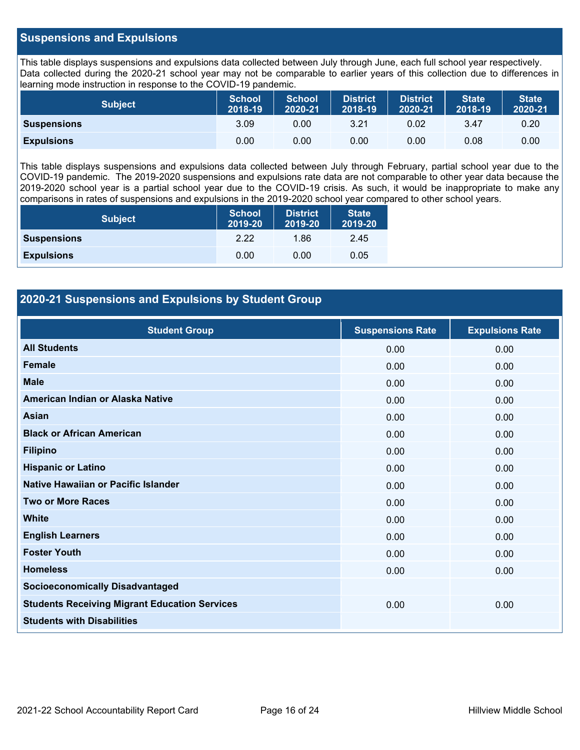### **Suspensions and Expulsions**

This table displays suspensions and expulsions data collected between July through June, each full school year respectively. Data collected during the 2020-21 school year may not be comparable to earlier years of this collection due to differences in learning mode instruction in response to the COVID-19 pandemic.

| <b>Subject</b>     | <b>School</b><br>2018-19 | <b>School</b><br>2020-21 | <b>District</b><br>2018-19 | <b>District</b><br>2020-21 | <b>State</b><br>2018-19 | <b>State</b><br>2020-21 |
|--------------------|--------------------------|--------------------------|----------------------------|----------------------------|-------------------------|-------------------------|
| <b>Suspensions</b> | 3.09                     | 0.00                     | 3.21                       | 0.02                       | 3.47                    | 0.20                    |
| <b>Expulsions</b>  | 0.00                     | 0.00                     | 0.00                       | 0.00                       | 0.08                    | 0.00                    |

This table displays suspensions and expulsions data collected between July through February, partial school year due to the COVID-19 pandemic. The 2019-2020 suspensions and expulsions rate data are not comparable to other year data because the 2019-2020 school year is a partial school year due to the COVID-19 crisis. As such, it would be inappropriate to make any comparisons in rates of suspensions and expulsions in the 2019-2020 school year compared to other school years.

| <b>Subject</b>     | <b>School</b><br>2019-20 | <b>District</b><br>2019-20 | <b>State</b><br>2019-20 |
|--------------------|--------------------------|----------------------------|-------------------------|
| <b>Suspensions</b> | 2.22                     | 1.86                       | 2.45                    |
| <b>Expulsions</b>  | 0.00                     | 0.00                       | 0.05                    |

### **2020-21 Suspensions and Expulsions by Student Group**

| <b>Student Group</b>                                 | <b>Suspensions Rate</b> | <b>Expulsions Rate</b> |
|------------------------------------------------------|-------------------------|------------------------|
| <b>All Students</b>                                  | 0.00                    | 0.00                   |
| <b>Female</b>                                        | 0.00                    | 0.00                   |
| <b>Male</b>                                          | 0.00                    | 0.00                   |
| American Indian or Alaska Native                     | 0.00                    | 0.00                   |
| <b>Asian</b>                                         | 0.00                    | 0.00                   |
| <b>Black or African American</b>                     | 0.00                    | 0.00                   |
| <b>Filipino</b>                                      | 0.00                    | 0.00                   |
| <b>Hispanic or Latino</b>                            | 0.00                    | 0.00                   |
| Native Hawaiian or Pacific Islander                  | 0.00                    | 0.00                   |
| <b>Two or More Races</b>                             | 0.00                    | 0.00                   |
| <b>White</b>                                         | 0.00                    | 0.00                   |
| <b>English Learners</b>                              | 0.00                    | 0.00                   |
| <b>Foster Youth</b>                                  | 0.00                    | 0.00                   |
| <b>Homeless</b>                                      | 0.00                    | 0.00                   |
| <b>Socioeconomically Disadvantaged</b>               |                         |                        |
| <b>Students Receiving Migrant Education Services</b> | 0.00                    | 0.00                   |
| <b>Students with Disabilities</b>                    |                         |                        |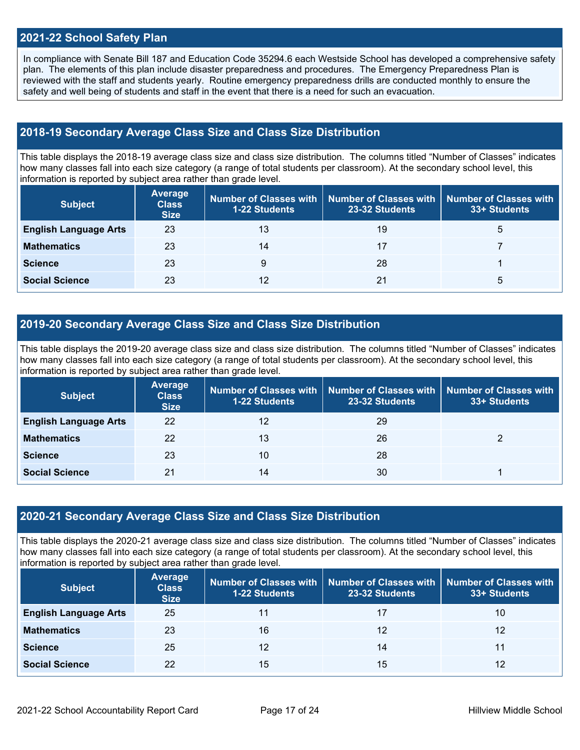### **2021-22 School Safety Plan**

In compliance with Senate Bill 187 and Education Code 35294.6 each Westside School has developed a comprehensive safety plan. The elements of this plan include disaster preparedness and procedures. The Emergency Preparedness Plan is reviewed with the staff and students yearly. Routine emergency preparedness drills are conducted monthly to ensure the safety and well being of students and staff in the event that there is a need for such an evacuation.

### **2018-19 Secondary Average Class Size and Class Size Distribution**

This table displays the 2018-19 average class size and class size distribution. The columns titled "Number of Classes" indicates how many classes fall into each size category (a range of total students per classroom). At the secondary school level, this information is reported by subject area rather than grade level.

| <b>Subject</b>               | Average<br><b>Class</b><br><b>Size</b> | <b>1-22 Students</b> | Number of Classes with   Number of Classes with   Number of Classes with<br>23-32 Students | 33+ Students |
|------------------------------|----------------------------------------|----------------------|--------------------------------------------------------------------------------------------|--------------|
| <b>English Language Arts</b> | 23                                     | 13                   | 19                                                                                         | $\mathbf b$  |
| <b>Mathematics</b>           | 23                                     | 14                   | 17                                                                                         |              |
| <b>Science</b>               | 23                                     | 9                    | 28                                                                                         |              |
| <b>Social Science</b>        | 23                                     | 12                   | 21                                                                                         | b            |

### **2019-20 Secondary Average Class Size and Class Size Distribution**

This table displays the 2019-20 average class size and class size distribution. The columns titled "Number of Classes" indicates how many classes fall into each size category (a range of total students per classroom). At the secondary school level, this information is reported by subject area rather than grade level.

| <b>Subject</b>               | <b>Average</b><br><b>Class</b><br><b>Size</b> | <b>1-22 Students</b> | Number of Classes with   Number of Classes with<br>23-32 Students | Number of Classes with<br>33+ Students |
|------------------------------|-----------------------------------------------|----------------------|-------------------------------------------------------------------|----------------------------------------|
| <b>English Language Arts</b> | 22                                            | 12                   | 29                                                                |                                        |
| <b>Mathematics</b>           | 22                                            | 13                   | 26                                                                |                                        |
| <b>Science</b>               | 23                                            | 10                   | 28                                                                |                                        |
| <b>Social Science</b>        | 21                                            | 14                   | 30                                                                |                                        |

### **2020-21 Secondary Average Class Size and Class Size Distribution**

This table displays the 2020-21 average class size and class size distribution. The columns titled "Number of Classes" indicates how many classes fall into each size category (a range of total students per classroom). At the secondary school level, this information is reported by subject area rather than grade level.

| <b>Subject</b>               | <b>Average</b><br><b>Class</b><br><b>Size</b> | <b>1-22 Students</b> | Number of Classes with   Number of Classes with<br>23-32 Students | <b>Number of Classes with</b><br>33+ Students |
|------------------------------|-----------------------------------------------|----------------------|-------------------------------------------------------------------|-----------------------------------------------|
| <b>English Language Arts</b> | 25                                            | 11                   | 17                                                                | 10                                            |
| <b>Mathematics</b>           | 23                                            | 16                   | 12                                                                | 12                                            |
| <b>Science</b>               | 25                                            | 12                   | 14                                                                | 11                                            |
| <b>Social Science</b>        | 22                                            | 15                   | 15                                                                | 12                                            |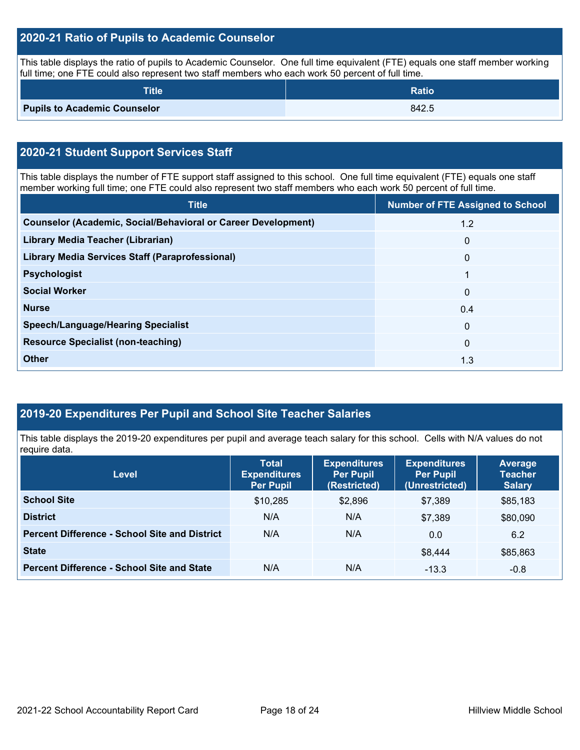### **2020-21 Ratio of Pupils to Academic Counselor**

This table displays the ratio of pupils to Academic Counselor. One full time equivalent (FTE) equals one staff member working full time; one FTE could also represent two staff members who each work 50 percent of full time.

| <b>Title</b>                        | <b>Ratio</b> |
|-------------------------------------|--------------|
| <b>Pupils to Academic Counselor</b> | 842.5        |

## **2020-21 Student Support Services Staff**

This table displays the number of FTE support staff assigned to this school. One full time equivalent (FTE) equals one staff member working full time; one FTE could also represent two staff members who each work 50 percent of full time.

| <b>Title</b>                                                         | <b>Number of FTE Assigned to School</b> |
|----------------------------------------------------------------------|-----------------------------------------|
| <b>Counselor (Academic, Social/Behavioral or Career Development)</b> | 1.2                                     |
| Library Media Teacher (Librarian)                                    | $\mathbf{0}$                            |
| <b>Library Media Services Staff (Paraprofessional)</b>               | $\mathbf{0}$                            |
| <b>Psychologist</b>                                                  | 1                                       |
| <b>Social Worker</b>                                                 | $\mathbf{0}$                            |
| <b>Nurse</b>                                                         | 0.4                                     |
| <b>Speech/Language/Hearing Specialist</b>                            | $\Omega$                                |
| <b>Resource Specialist (non-teaching)</b>                            | $\mathbf{0}$                            |
| <b>Other</b>                                                         | 1.3                                     |

### **2019-20 Expenditures Per Pupil and School Site Teacher Salaries**

This table displays the 2019-20 expenditures per pupil and average teach salary for this school. Cells with N/A values do not require data.

| <b>Level</b>                                         | <b>Total</b><br><b>Expenditures</b><br><b>Per Pupil</b> | <b>Expenditures</b><br><b>Per Pupil</b><br>(Restricted) | <b>Expenditures</b><br><b>Per Pupil</b><br>(Unrestricted) | <b>Average</b><br><b>Teacher</b><br><b>Salary</b> |
|------------------------------------------------------|---------------------------------------------------------|---------------------------------------------------------|-----------------------------------------------------------|---------------------------------------------------|
| <b>School Site</b>                                   | \$10,285                                                | \$2,896                                                 | \$7.389                                                   | \$85,183                                          |
| <b>District</b>                                      | N/A                                                     | N/A                                                     | \$7.389                                                   | \$80,090                                          |
| <b>Percent Difference - School Site and District</b> | N/A                                                     | N/A                                                     | 0.0                                                       | 6.2                                               |
| <b>State</b>                                         |                                                         |                                                         | \$8,444                                                   | \$85,863                                          |
| <b>Percent Difference - School Site and State</b>    | N/A                                                     | N/A                                                     | $-13.3$                                                   | $-0.8$                                            |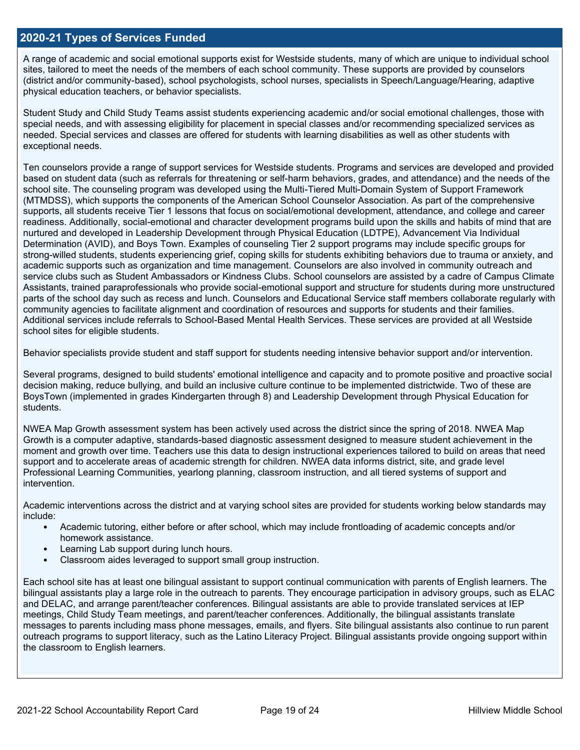### **2020-21 Types of Services Funded**

A range of academic and social emotional supports exist for Westside students, many of which are unique to individual school sites, tailored to meet the needs of the members of each school community. These supports are provided by counselors (district and/or community-based), school psychologists, school nurses, specialists in Speech/Language/Hearing, adaptive physical education teachers, or behavior specialists.

Student Study and Child Study Teams assist students experiencing academic and/or social emotional challenges, those with special needs, and with assessing eligibility for placement in special classes and/or recommending specialized services as needed. Special services and classes are offered for students with learning disabilities as well as other students with exceptional needs.

Ten counselors provide a range of support services for Westside students. Programs and services are developed and provided based on student data (such as referrals for threatening or self-harm behaviors, grades, and attendance) and the needs of the school site. The counseling program was developed using the Multi-Tiered Multi-Domain System of Support Framework (MTMDSS), which supports the components of the American School Counselor Association. As part of the comprehensive supports, all students receive Tier 1 lessons that focus on social/emotional development, attendance, and college and career readiness. Additionally, social-emotional and character development programs build upon the skills and habits of mind that are nurtured and developed in Leadership Development through Physical Education (LDTPE), Advancement Via Individual Determination (AVID), and Boys Town. Examples of counseling Tier 2 support programs may include specific groups for strong-willed students, students experiencing grief, coping skills for students exhibiting behaviors due to trauma or anxiety, and academic supports such as organization and time management. Counselors are also involved in community outreach and service clubs such as Student Ambassadors or Kindness Clubs. School counselors are assisted by a cadre of Campus Climate Assistants, trained paraprofessionals who provide social-emotional support and structure for students during more unstructured parts of the school day such as recess and lunch. Counselors and Educational Service staff members collaborate regularly with community agencies to facilitate alignment and coordination of resources and supports for students and their families. Additional services include referrals to School-Based Mental Health Services. These services are provided at all Westside school sites for eligible students.

Behavior specialists provide student and staff support for students needing intensive behavior support and/or intervention.

Several programs, designed to build students' emotional intelligence and capacity and to promote positive and proactive social decision making, reduce bullying, and build an inclusive culture continue to be implemented districtwide. Two of these are BoysTown (implemented in grades Kindergarten through 8) and Leadership Development through Physical Education for students.

NWEA Map Growth assessment system has been actively used across the district since the spring of 2018. NWEA Map Growth is a computer adaptive, standards-based diagnostic assessment designed to measure student achievement in the moment and growth over time. Teachers use this data to design instructional experiences tailored to build on areas that need support and to accelerate areas of academic strength for children. NWEA data informs district, site, and grade level Professional Learning Communities, yearlong planning, classroom instruction, and all tiered systems of support and intervention.

Academic interventions across the district and at varying school sites are provided for students working below standards may include:

- Academic tutoring, either before or after school, which may include frontloading of academic concepts and/or homework assistance.
- Learning Lab support during lunch hours.
- Classroom aides leveraged to support small group instruction.

Each school site has at least one bilingual assistant to support continual communication with parents of English learners. The bilingual assistants play a large role in the outreach to parents. They encourage participation in advisory groups, such as ELAC and DELAC, and arrange parent/teacher conferences. Bilingual assistants are able to provide translated services at IEP meetings, Child Study Team meetings, and parent/teacher conferences. Additionally, the bilingual assistants translate messages to parents including mass phone messages, emails, and flyers. Site bilingual assistants also continue to run parent outreach programs to support literacy, such as the Latino Literacy Project. Bilingual assistants provide ongoing support within the classroom to English learners.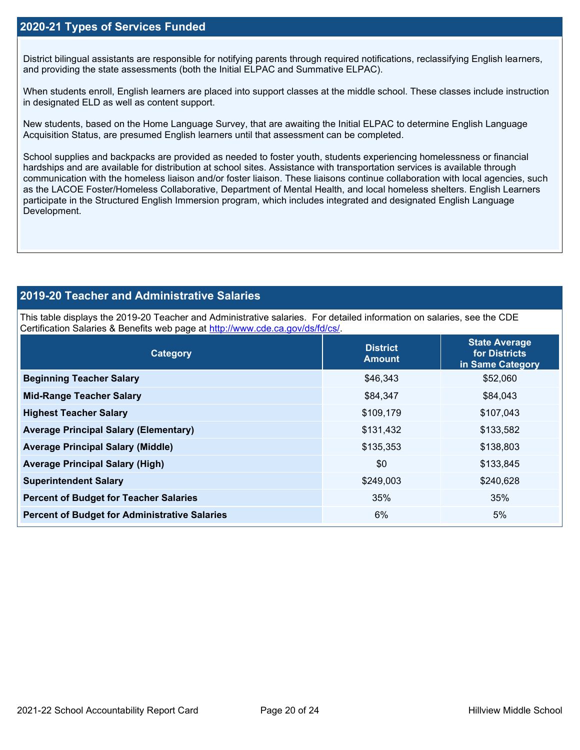### **2020-21 Types of Services Funded**

District bilingual assistants are responsible for notifying parents through required notifications, reclassifying English learners, and providing the state assessments (both the Initial ELPAC and Summative ELPAC).

When students enroll, English learners are placed into support classes at the middle school. These classes include instruction in designated ELD as well as content support.

New students, based on the Home Language Survey, that are awaiting the Initial ELPAC to determine English Language Acquisition Status, are presumed English learners until that assessment can be completed.

School supplies and backpacks are provided as needed to foster youth, students experiencing homelessness or financial hardships and are available for distribution at school sites. Assistance with transportation services is available through communication with the homeless liaison and/or foster liaison. These liaisons continue collaboration with local agencies, such as the LACOE Foster/Homeless Collaborative, Department of Mental Health, and local homeless shelters. English Learners participate in the Structured English Immersion program, which includes integrated and designated English Language Development.

### **2019-20 Teacher and Administrative Salaries**

This table displays the 2019-20 Teacher and Administrative salaries. For detailed information on salaries, see the CDE Certification Salaries & Benefits web page at [http://www.cde.ca.gov/ds/fd/cs/.](http://www.cde.ca.gov/ds/fd/cs/)

| Category                                             | <b>District</b><br><b>Amount</b> | <b>State Average</b><br>for Districts<br>in Same Category |
|------------------------------------------------------|----------------------------------|-----------------------------------------------------------|
| <b>Beginning Teacher Salary</b>                      | \$46,343                         | \$52,060                                                  |
| <b>Mid-Range Teacher Salary</b>                      | \$84,347                         | \$84,043                                                  |
| <b>Highest Teacher Salary</b>                        | \$109,179                        | \$107,043                                                 |
| <b>Average Principal Salary (Elementary)</b>         | \$131,432                        | \$133,582                                                 |
| <b>Average Principal Salary (Middle)</b>             | \$135,353                        | \$138,803                                                 |
| <b>Average Principal Salary (High)</b>               | \$0                              | \$133,845                                                 |
| <b>Superintendent Salary</b>                         | \$249,003                        | \$240,628                                                 |
| <b>Percent of Budget for Teacher Salaries</b>        | 35%                              | 35%                                                       |
| <b>Percent of Budget for Administrative Salaries</b> | 6%                               | 5%                                                        |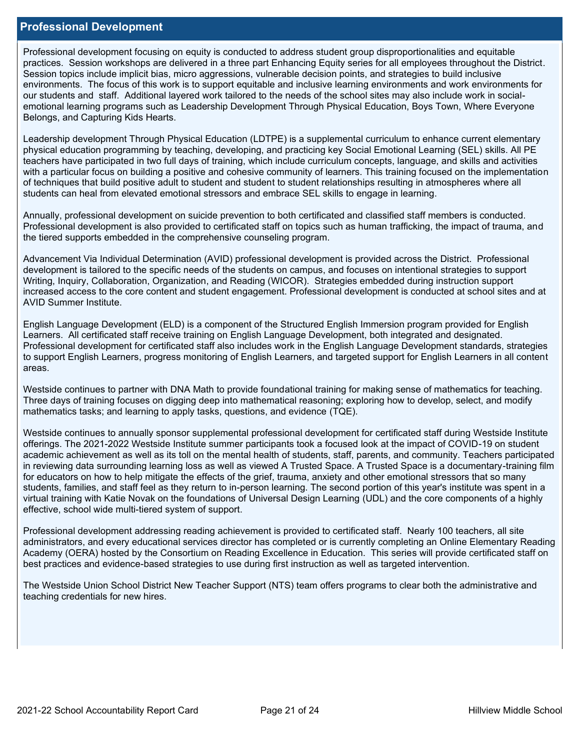### **Professional Development**

Professional development focusing on equity is conducted to address student group disproportionalities and equitable practices. Session workshops are delivered in a three part Enhancing Equity series for all employees throughout the District. Session topics include implicit bias, micro aggressions, vulnerable decision points, and strategies to build inclusive environments. The focus of this work is to support equitable and inclusive learning environments and work environments for our students and staff. Additional layered work tailored to the needs of the school sites may also include work in socialemotional learning programs such as Leadership Development Through Physical Education, Boys Town, Where Everyone Belongs, and Capturing Kids Hearts.

Leadership development Through Physical Education (LDTPE) is a supplemental curriculum to enhance current elementary physical education programming by teaching, developing, and practicing key Social Emotional Learning (SEL) skills. All PE teachers have participated in two full days of training, which include curriculum concepts, language, and skills and activities with a particular focus on building a positive and cohesive community of learners. This training focused on the implementation of techniques that build positive adult to student and student to student relationships resulting in atmospheres where all students can heal from elevated emotional stressors and embrace SEL skills to engage in learning.

Annually, professional development on suicide prevention to both certificated and classified staff members is conducted. Professional development is also provided to certificated staff on topics such as human trafficking, the impact of trauma, and the tiered supports embedded in the comprehensive counseling program.

Advancement Via Individual Determination (AVID) professional development is provided across the District. Professional development is tailored to the specific needs of the students on campus, and focuses on intentional strategies to support Writing, Inquiry, Collaboration, Organization, and Reading (WICOR). Strategies embedded during instruction support increased access to the core content and student engagement. Professional development is conducted at school sites and at AVID Summer Institute.

English Language Development (ELD) is a component of the Structured English Immersion program provided for English Learners. All certificated staff receive training on English Language Development, both integrated and designated. Professional development for certificated staff also includes work in the English Language Development standards, strategies to support English Learners, progress monitoring of English Learners, and targeted support for English Learners in all content areas.

Westside continues to partner with DNA Math to provide foundational training for making sense of mathematics for teaching. Three days of training focuses on digging deep into mathematical reasoning; exploring how to develop, select, and modify mathematics tasks; and learning to apply tasks, questions, and evidence (TQE).

Westside continues to annually sponsor supplemental professional development for certificated staff during Westside Institute offerings. The 2021-2022 Westside Institute summer participants took a focused look at the impact of COVID-19 on student academic achievement as well as its toll on the mental health of students, staff, parents, and community. Teachers participated in reviewing data surrounding learning loss as well as viewed A Trusted Space. A Trusted Space is a documentary-training film for educators on how to help mitigate the effects of the grief, trauma, anxiety and other emotional stressors that so many students, families, and staff feel as they return to in-person learning. The second portion of this year's institute was spent in a virtual training with Katie Novak on the foundations of Universal Design Learning (UDL) and the core components of a highly effective, school wide multi-tiered system of support.

Professional development addressing reading achievement is provided to certificated staff. Nearly 100 teachers, all site administrators, and every educational services director has completed or is currently completing an Online Elementary Reading Academy (OERA) hosted by the Consortium on Reading Excellence in Education. This series will provide certificated staff on best practices and evidence-based strategies to use during first instruction as well as targeted intervention.

The Westside Union School District New Teacher Support (NTS) team offers programs to clear both the administrative and teaching credentials for new hires.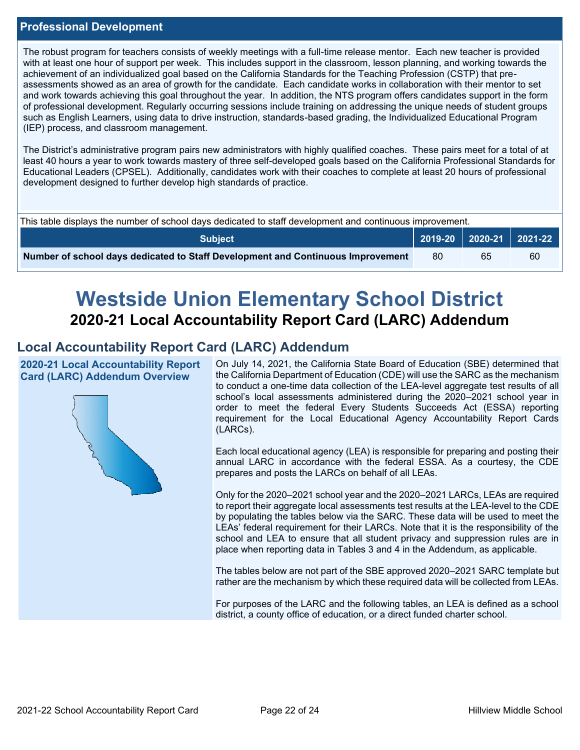### **Professional Development**

The robust program for teachers consists of weekly meetings with a full-time release mentor. Each new teacher is provided with at least one hour of support per week. This includes support in the classroom, lesson planning, and working towards the achievement of an individualized goal based on the California Standards for the Teaching Profession (CSTP) that preassessments showed as an area of growth for the candidate. Each candidate works in collaboration with their mentor to set and work towards achieving this goal throughout the year. In addition, the NTS program offers candidates support in the form of professional development. Regularly occurring sessions include training on addressing the unique needs of student groups such as English Learners, using data to drive instruction, standards-based grading, the Individualized Educational Program (IEP) process, and classroom management.

The District's administrative program pairs new administrators with highly qualified coaches. These pairs meet for a total of at least 40 hours a year to work towards mastery of three self-developed goals based on the California Professional Standards for Educational Leaders (CPSEL). Additionally, candidates work with their coaches to complete at least 20 hours of professional development designed to further develop high standards of practice.

| This table displays the number of school days dedicated to staff development and continuous improvement. |    |    |                             |  |  |
|----------------------------------------------------------------------------------------------------------|----|----|-----------------------------|--|--|
| Subiect                                                                                                  |    |    | 2019-20   2020-21   2021-22 |  |  |
| Number of school days dedicated to Staff Development and Continuous Improvement                          | 80 | 65 | 60                          |  |  |

# **Westside Union Elementary School District 2020-21 Local Accountability Report Card (LARC) Addendum**

## **Local Accountability Report Card (LARC) Addendum**

**2020-21 Local Accountability Report Card (LARC) Addendum Overview**



On July 14, 2021, the California State Board of Education (SBE) determined that the California Department of Education (CDE) will use the SARC as the mechanism to conduct a one-time data collection of the LEA-level aggregate test results of all school's local assessments administered during the 2020–2021 school year in order to meet the federal Every Students Succeeds Act (ESSA) reporting requirement for the Local Educational Agency Accountability Report Cards (LARCs).

Each local educational agency (LEA) is responsible for preparing and posting their annual LARC in accordance with the federal ESSA. As a courtesy, the CDE prepares and posts the LARCs on behalf of all LEAs.

Only for the 2020–2021 school year and the 2020–2021 LARCs, LEAs are required to report their aggregate local assessments test results at the LEA-level to the CDE by populating the tables below via the SARC. These data will be used to meet the LEAs' federal requirement for their LARCs. Note that it is the responsibility of the school and LEA to ensure that all student privacy and suppression rules are in place when reporting data in Tables 3 and 4 in the Addendum, as applicable.

The tables below are not part of the SBE approved 2020–2021 SARC template but rather are the mechanism by which these required data will be collected from LEAs.

For purposes of the LARC and the following tables, an LEA is defined as a school district, a county office of education, or a direct funded charter school.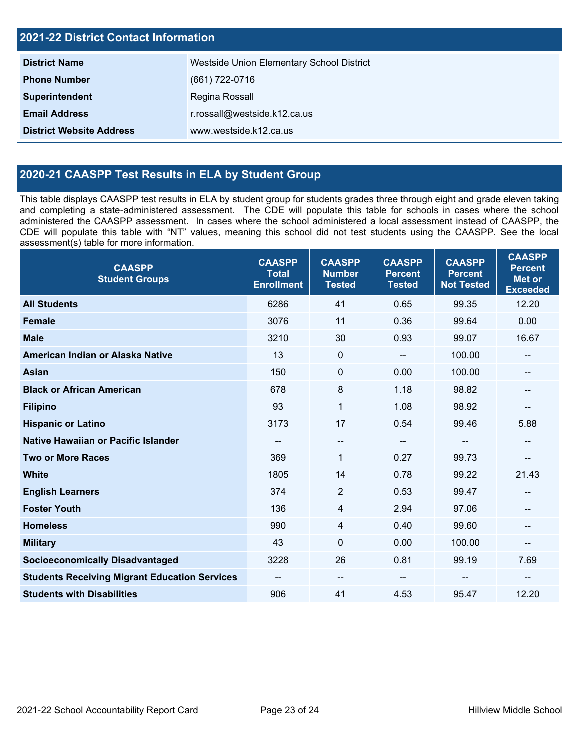| <b>2021-22 District Contact Information</b> |                                           |  |  |  |
|---------------------------------------------|-------------------------------------------|--|--|--|
| <b>District Name</b>                        | Westside Union Elementary School District |  |  |  |
| <b>Phone Number</b>                         | (661) 722-0716                            |  |  |  |
| Superintendent                              | Regina Rossall                            |  |  |  |
| <b>Email Address</b>                        | r.rossall@westside.k12.ca.us              |  |  |  |
| <b>District Website Address</b>             | www.westside.k12.ca.us                    |  |  |  |

## **2020-21 CAASPP Test Results in ELA by Student Group**

This table displays CAASPP test results in ELA by student group for students grades three through eight and grade eleven taking and completing a state-administered assessment. The CDE will populate this table for schools in cases where the school administered the CAASPP assessment. In cases where the school administered a local assessment instead of CAASPP, the CDE will populate this table with "NT" values, meaning this school did not test students using the CAASPP. See the local assessment(s) table for more information.

| <b>CAASPP</b><br><b>Student Groups</b>               | <b>CAASPP</b><br><b>Total</b><br><b>Enrollment</b> | <b>CAASPP</b><br><b>Number</b><br><b>Tested</b> | <b>CAASPP</b><br><b>Percent</b><br><b>Tested</b> | <b>CAASPP</b><br><b>Percent</b><br><b>Not Tested</b> | <b>CAASPP</b><br><b>Percent</b><br><b>Met or</b><br><b>Exceeded</b> |
|------------------------------------------------------|----------------------------------------------------|-------------------------------------------------|--------------------------------------------------|------------------------------------------------------|---------------------------------------------------------------------|
| <b>All Students</b>                                  | 6286                                               | 41                                              | 0.65                                             | 99.35                                                | 12.20                                                               |
| <b>Female</b>                                        | 3076                                               | 11                                              | 0.36                                             | 99.64                                                | 0.00                                                                |
| <b>Male</b>                                          | 3210                                               | 30                                              | 0.93                                             | 99.07                                                | 16.67                                                               |
| American Indian or Alaska Native                     | 13                                                 | $\mathbf 0$                                     | $\overline{\phantom{a}}$                         | 100.00                                               | --                                                                  |
| Asian                                                | 150                                                | $\mathbf 0$                                     | 0.00                                             | 100.00                                               |                                                                     |
| <b>Black or African American</b>                     | 678                                                | 8                                               | 1.18                                             | 98.82                                                | --                                                                  |
| <b>Filipino</b>                                      | 93                                                 | $\mathbf{1}$                                    | 1.08                                             | 98.92                                                | --                                                                  |
| <b>Hispanic or Latino</b>                            | 3173                                               | 17                                              | 0.54                                             | 99.46                                                | 5.88                                                                |
| Native Hawaiian or Pacific Islander                  | --                                                 | $\overline{\phantom{a}}$                        | $\overline{\phantom{a}}$                         | $-$                                                  | --                                                                  |
| <b>Two or More Races</b>                             | 369                                                | 1                                               | 0.27                                             | 99.73                                                | --                                                                  |
| <b>White</b>                                         | 1805                                               | 14                                              | 0.78                                             | 99.22                                                | 21.43                                                               |
| <b>English Learners</b>                              | 374                                                | $\overline{2}$                                  | 0.53                                             | 99.47                                                |                                                                     |
| <b>Foster Youth</b>                                  | 136                                                | $\overline{4}$                                  | 2.94                                             | 97.06                                                |                                                                     |
| <b>Homeless</b>                                      | 990                                                | 4                                               | 0.40                                             | 99.60                                                | --                                                                  |
| <b>Military</b>                                      | 43                                                 | $\mathbf 0$                                     | 0.00                                             | 100.00                                               | --                                                                  |
| <b>Socioeconomically Disadvantaged</b>               | 3228                                               | 26                                              | 0.81                                             | 99.19                                                | 7.69                                                                |
| <b>Students Receiving Migrant Education Services</b> | --                                                 | $\qquad \qquad -$                               |                                                  | --                                                   |                                                                     |
| <b>Students with Disabilities</b>                    | 906                                                | 41                                              | 4.53                                             | 95.47                                                | 12.20                                                               |